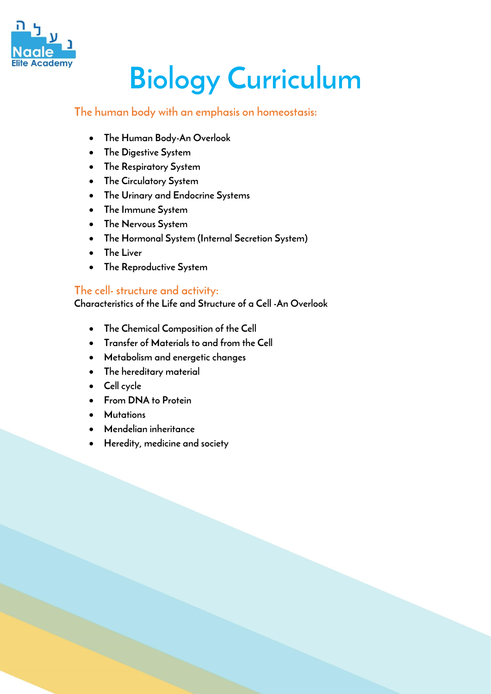

# **Biology Curriculum**

# **The human body with an emphasis on homeostasis:**

- **The Human Body-An Overlook**
- **The Digestive System**
- **The Respiratory System**
- **The Circulatory System**
- **The Urinary and Endocrine Systems**
- **The Immune System**
- **The Nervous System**
- **The Hormonal System (Internal Secretion System)**
- **The Liver**
- **The Reproductive System**

#### **The cell- structure and activity:**

**Characteristics of the Life and Structure of a Cell -An Overlook**

- **The Chemical Composition of the Cell**
- **Transfer of Materials to and from the Cell**
- **Metabolism and energetic changes**
- **The hereditary material**
- **Cell cycle**
- **From DNA to Protein**
- **Mutations**
- **Mendelian inheritance**
- **Heredity, medicine and society**